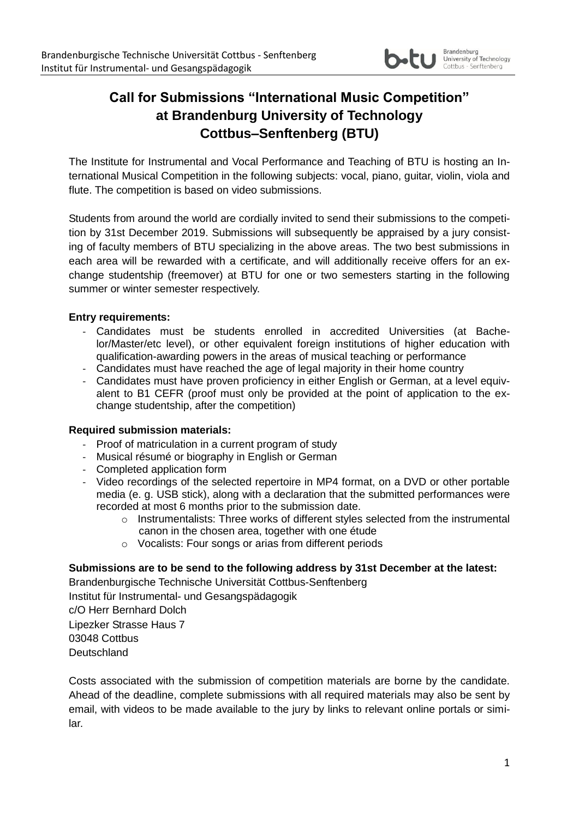

# **Call for Submissions "International Music Competition" at Brandenburg University of Technology Cottbus–Senftenberg (BTU)**

The Institute for Instrumental and Vocal Performance and Teaching of BTU is hosting an International Musical Competition in the following subjects: vocal, piano, guitar, violin, viola and flute. The competition is based on video submissions.

Students from around the world are cordially invited to send their submissions to the competition by 31st December 2019. Submissions will subsequently be appraised by a jury consisting of faculty members of BTU specializing in the above areas. The two best submissions in each area will be rewarded with a certificate, and will additionally receive offers for an exchange studentship (freemover) at BTU for one or two semesters starting in the following summer or winter semester respectively.

### **Entry requirements:**

- Candidates must be students enrolled in accredited Universities (at Bachelor/Master/etc level), or other equivalent foreign institutions of higher education with qualification-awarding powers in the areas of musical teaching or performance
- Candidates must have reached the age of legal majority in their home country
- Candidates must have proven proficiency in either English or German, at a level equivalent to B1 CEFR (proof must only be provided at the point of application to the exchange studentship, after the competition)

### **Required submission materials:**

- Proof of matriculation in a current program of study
- Musical résumé or biography in English or German
- Completed application form
- Video recordings of the selected repertoire in MP4 format, on a DVD or other portable media (e. g. USB stick), along with a declaration that the submitted performances were recorded at most 6 months prior to the submission date.
	- $\circ$  Instrumentalists: Three works of different styles selected from the instrumental canon in the chosen area, together with one étude
	- o Vocalists: Four songs or arias from different periods

### **Submissions are to be send to the following address by 31st December at the latest:**

Brandenburgische Technische Universität Cottbus-Senftenberg Institut für Instrumental- und Gesangspädagogik c/O Herr Bernhard Dolch Lipezker Strasse Haus 7 03048 Cottbus **Deutschland** 

Costs associated with the submission of competition materials are borne by the candidate. Ahead of the deadline, complete submissions with all required materials may also be sent by email, with videos to be made available to the jury by links to relevant online portals or similar.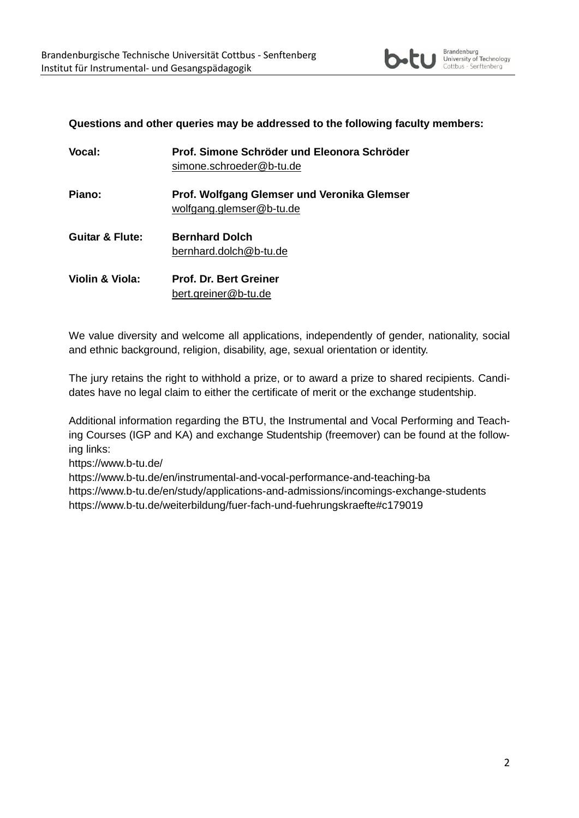

#### **Questions and other queries may be addressed to the following faculty members:**

| <b>Vocal:</b>              | Prof. Simone Schröder und Eleonora Schröder<br>simone.schroeder@b-tu.de |
|----------------------------|-------------------------------------------------------------------------|
| Piano:                     | Prof. Wolfgang Glemser und Veronika Glemser<br>wolfgang.glemser@b-tu.de |
| <b>Guitar &amp; Flute:</b> | <b>Bernhard Dolch</b><br>bernhard.dolch@b-tu.de                         |
| Violin & Viola:            | <b>Prof. Dr. Bert Greiner</b><br>bert.greiner@b-tu.de                   |

We value diversity and welcome all applications, independently of gender, nationality, social and ethnic background, religion, disability, age, sexual orientation or identity.

The jury retains the right to withhold a prize, or to award a prize to shared recipients. Candidates have no legal claim to either the certificate of merit or the exchange studentship.

Additional information regarding the BTU, the Instrumental and Vocal Performing and Teaching Courses (IGP and KA) and exchange Studentship (freemover) can be found at the following links:

<https://www.b-tu.de/>

<https://www.b-tu.de/en/instrumental-and-vocal-performance-and-teaching-ba> <https://www.b-tu.de/en/study/applications-and-admissions/incomings-exchange-students> <https://www.b-tu.de/weiterbildung/fuer-fach-und-fuehrungskraefte#c179019>